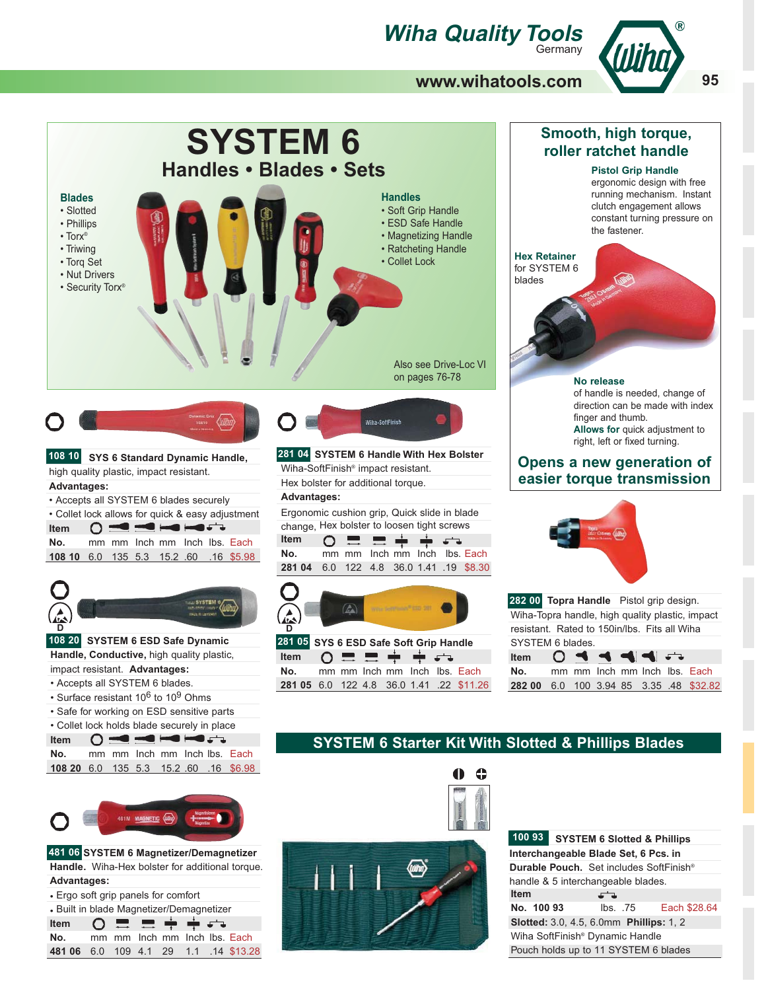# *Wiha Quality Tools*



## **www.wihatools.com**



**481 06 SYSTEM 6 Magnetizer/Demagnetizer Handle.** Wiha-Hex bolster for additional torque. **Advantages:**

• Ergo soft grip panels for comfort • Built in blade Magnetizer/Demagnetizer **Item**

| $T = T$ $T$ $T$ $T$                   |  |  |  |  |
|---------------------------------------|--|--|--|--|
| No. mm mm lnch mm lnch lbs. Each      |  |  |  |  |
| 481 06 6.0 109 4.1 29 1.1 .14 \$13.28 |  |  |  |  |
|                                       |  |  |  |  |





|                                                       | 100 93 SYSTEM 6 Slotted & Phillips                  |      |  |                       |  |  |  |  |
|-------------------------------------------------------|-----------------------------------------------------|------|--|-----------------------|--|--|--|--|
| Interchangeable Blade Set, 6 Pcs. in                  |                                                     |      |  |                       |  |  |  |  |
|                                                       | Durable Pouch. Set includes SoftFinish <sup>®</sup> |      |  |                       |  |  |  |  |
| handle & 5 interchangeable blades.                    |                                                     |      |  |                       |  |  |  |  |
| <b>Item</b>                                           |                                                     | ے ہے |  |                       |  |  |  |  |
| No. 100 93                                            |                                                     |      |  | lbs. .75 Each \$28.64 |  |  |  |  |
| <b>Slotted:</b> 3.0, 4.5, 6.0mm <b>Phillips:</b> 1, 2 |                                                     |      |  |                       |  |  |  |  |
|                                                       | Wiha SoftFinish <sup>®</sup> Dynamic Handle         |      |  |                       |  |  |  |  |
|                                                       | Pouch holds up to 11 SYSTEM 6 blades                |      |  |                       |  |  |  |  |
|                                                       |                                                     |      |  |                       |  |  |  |  |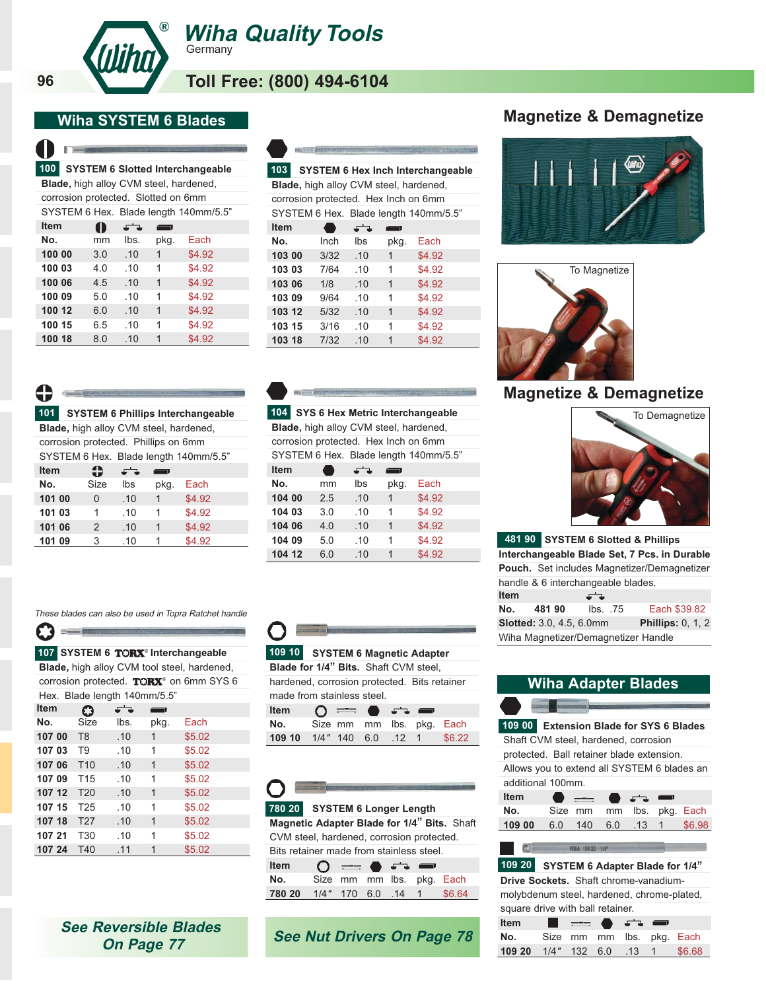

**Wiha Quality Tools Germany** 

**Toll Free: (800) 494-6104**

## **Wiha SYSTEM 6 Blades**

| 100 <sub>1</sub> |     |                                     |      | <b>SYSTEM 6 Slotted Interchangeable</b>       |
|------------------|-----|-------------------------------------|------|-----------------------------------------------|
|                  |     |                                     |      | <b>Blade, high alloy CVM steel, hardened,</b> |
|                  |     | corrosion protected. Slotted on 6mm |      |                                               |
|                  |     |                                     |      | SYSTEM 6 Hex. Blade length 140mm/5.5"         |
| <b>Item</b>      | Œ   | د د                                 | ━.   |                                               |
| Nο.              | mm  | lbs.                                | pkg. | Fach                                          |
| 100 00           | 3.0 | .10                                 | 1    | \$4.92                                        |
| 100 03           | 4.0 | .10                                 | 1    | \$4.92                                        |
| 100 06           | 4.5 | .10                                 | 1    | \$4.92                                        |
| 100 09           | 5.0 | .10                                 | 1    | \$4.92                                        |
| 100 12           | 6.0 | .10                                 | 1    | \$4.92                                        |
| 100 15           | 6.5 | .10                                 | 1    | \$4.92                                        |
| 100 18           | 8.0 | .10                                 | 1    | \$4.92                                        |

|                                               | <b>Charles Committee Committee Committee</b> |     |                |                                          |
|-----------------------------------------------|----------------------------------------------|-----|----------------|------------------------------------------|
| 103                                           |                                              |     |                | <b>SYSTEM 6 Hex Inch Interchangeable</b> |
| <b>Blade, high alloy CVM steel, hardened,</b> |                                              |     |                |                                          |
| corrosion protected. Hex Inch on 6mm          |                                              |     |                |                                          |
|                                               |                                              |     |                | SYSTEM 6 Hex. Blade length 140mm/5.5"    |
| <b>Item</b>                                   |                                              | ∽   |                |                                          |
| No.                                           | Inch                                         | lbs | pkg.           | Fach                                     |
| 103 00                                        | 3/32                                         | .10 | 1              | \$4.92                                   |
| 103 03                                        | 7/64                                         | .10 | 1              | \$4.92                                   |
| 103 06                                        | 1/8                                          | .10 | $\overline{1}$ | \$4.92                                   |
| 103 09                                        | 9/64                                         | .10 | 1              | \$4.92                                   |
| 103 12                                        | 5/32                                         | .10 | 1              | \$4.92                                   |
| 103 15                                        | 3/16                                         | .10 | 1              | \$4.92                                   |
| 103 18                                        | 7/32                                         | .10 | 1              | \$4.92                                   |

**Item**

**96**

**SYSTEM 6 Phillips Interchangeable Blade,** high alloy CVM steel, hardened, **101**

corrosion protected. Phillips on 6mm SYSTEM 6 Hex. Blade length 140mm/5.5"

|        |                |     |      | STSTEIN 6 Hex. Blade length T40mm/5.5 |  |
|--------|----------------|-----|------|---------------------------------------|--|
| Item   | 45             | J   |      |                                       |  |
| No.    | Size           | lbs | pkg. | Each                                  |  |
| 101 00 | 0              | .10 | 1    | \$4.92                                |  |
| 101 03 | 1              | .10 | 1    | \$4.92                                |  |
| 101 06 | $\mathfrak{D}$ | .10 | 1    | \$4.92                                |  |
| 101 09 | 3              | .10 |      | \$4.92                                |  |
|        |                |     |      |                                       |  |

107 SYSTEM 6 TORX<sup>®</sup> Interchangeable **Blade,** high alloy CVM tool steel, hardened, corrosion protected.  $TORX^{\circ}$  on 6mm SYS 6

These blades can also be used in Topra Ratchet handle

Hex. Blade length 140mm/5.5"

 $\Omega$ 

**No.** Size lbs. pkg. Each **107 00** T8 .10 1 \$5.02 **107 03** T9 .10 1 \$5.02 **107 06** T10 .10 1 \$5.02 **107 09** T15 .10 1 \$5.02 **107 12** T20 .10 1 \$5.02 **107 15** T25 .10 1 \$5.02 **107 18** T27 .10 1 \$5.02 **107 21** T30 .10 1 \$5.02 **107 24** T40 .11 1 \$5.02

پٽي

|                                        |  |     |     |              | 104 SYS 6 Hex Metric Interchangeable  |  |  |  |
|----------------------------------------|--|-----|-----|--------------|---------------------------------------|--|--|--|
| Blade, high alloy CVM steel, hardened, |  |     |     |              |                                       |  |  |  |
| corrosion protected. Hex Inch on 6mm   |  |     |     |              |                                       |  |  |  |
|                                        |  |     |     |              | SYSTEM 6 Hex. Blade length 140mm/5.5" |  |  |  |
| <b>Item</b>                            |  |     | ہے۔ |              |                                       |  |  |  |
| No.                                    |  | mm  | lbs | pkg.         | Each                                  |  |  |  |
| 104 00                                 |  | 2.5 | .10 | $\mathbf{1}$ | \$4.92                                |  |  |  |
| 104 03                                 |  | 3.0 | .10 | 1            | \$4.92                                |  |  |  |
| 104 06                                 |  | 4.0 | .10 | 1            | \$4.92                                |  |  |  |

**104 09** 5.0 .10 1 \$4.92 **104 12** 6.0 .10 1 \$4.92

**SYSTEM 6 Magnetic Adapter Blade for 1/4**" **Bits.** Shaft CVM steel, hardened, corrosion protected. Bits retainer **109 10**

|  | nardened, corrosion protected. Bits retainer |  |  |  |
|--|----------------------------------------------|--|--|--|
|  | made from stainless steel.                   |  |  |  |
|  |                                              |  |  |  |

| Item                             | $\Omega = \bullet$ $\bullet$ |  |  |
|----------------------------------|------------------------------|--|--|
| No. Size mm mm lbs. pkg. Each    |                              |  |  |
| 109 10 1/4" 140 6.0 .12 1 \$6.22 |                              |  |  |

| $\sqrt{2}$ |                                             |
|------------|---------------------------------------------|
|            | 780 20 SYSTEM 6 Longer Length               |
|            | Magnetic Adapter Blade for 1/4" Bits. Shaft |
|            | CVM steel, hardened, corrosion protected.   |
|            | Bits retainer made from stainless steel.    |

| <b>Item</b>                      | $\circ$ $\circ$ $\bullet$ $\circ$ $\bullet$ |  |  |  |
|----------------------------------|---------------------------------------------|--|--|--|
| No. Size mm mm lbs. pkg. Each    |                                             |  |  |  |
| 780 20 1/4" 170 6.0 .14 1 \$6.64 |                                             |  |  |  |
|                                  |                                             |  |  |  |

# **Magnetize & Demagnetize**





**Side** 

# **Magnetize & Demagnetize**



**481 90 SYSTEM 6 Slotted & Phillips Interchangeable Blade Set, 7 Pcs. in Durable Pouch.** Set includes Magnetizer/Demagnetizer handle & 6 interchangeable blades.

| <b>Item</b>                         |        | ے ہے                |  |                          |  |  |
|-------------------------------------|--------|---------------------|--|--------------------------|--|--|
| No.                                 | 481 90 | $\mathsf{lbs.}$ .75 |  | Each \$39.82             |  |  |
| <b>Slotted:</b> 3.0, 4.5, 6.0mm     |        |                     |  | <b>Phillips: 0, 1, 2</b> |  |  |
| Wiha Magnetizer/Demagnetizer Handle |        |                     |  |                          |  |  |

# **Wiha Adapter Blades**

**109 00 Extension Blade for SYS 6 Blades** Shaft CVM steel, hardened, corrosion protected. Ball retainer blade extension. Allows you to extend all SYSTEM 6 blades an additional 100mm. **Item** ᅿ L. **No.** Size mm mm lbs. pkg. Each **109 00** 6.0 140 6.0 .13 1 \$6.98 WIHA 109 20 1/4 **109 20 SYSTEM 6 Adapter Blade for 1/4**" **Drive Sockets.** Shaft chrome-vanadiummolybdenum steel, hardened, chrome-plated, square drive with ball retainer. **Item** لاشته

**No.** Size mm mm lbs. pkg. Each **109 20** 1/4" 132 6.0 .13 1 \$6.68

| <b>See Reversible Blades</b> |  |
|------------------------------|--|
| On Page 77                   |  |

# **See Nut Drivers On Page 78**